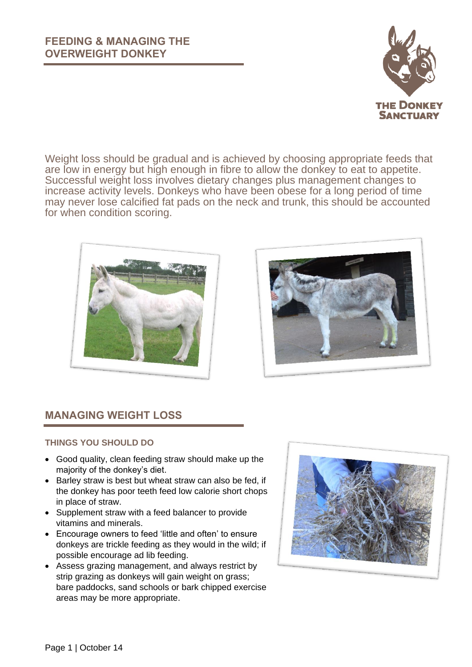

Weight loss should be gradual and is achieved by choosing appropriate feeds that are low in energy but high enough in fibre to allow the donkey to eat to appetite. Successful weight loss involves dietary changes plus management changes to increase activity levels. Donkeys who have been obese for a long period of time may never lose calcified fat pads on the neck and trunk, this should be accounted for when condition scoring.





# **MANAGING WEIGHT LOSS**

#### **THINGS YOU SHOULD DO**

- Good quality, clean feeding straw should make up the majority of the donkey's diet.
- Barley straw is best but wheat straw can also be fed, if the donkey has poor teeth feed low calorie short chops in place of straw.
- Supplement straw with a feed balancer to provide vitamins and minerals.
- Encourage owners to feed 'little and often' to ensure donkeys are trickle feeding as they would in the wild; if possible encourage ad lib feeding.
- Assess grazing management, and always restrict by strip grazing as donkeys will gain weight on grass; bare paddocks, sand schools or bark chipped exercise areas may be more appropriate.